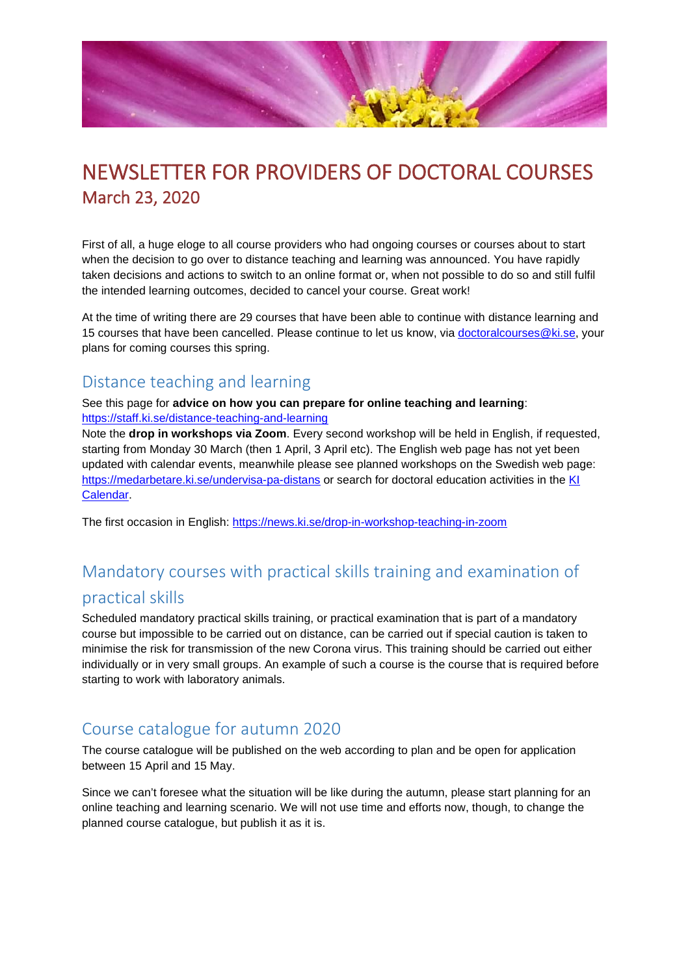

# NEWSLETTER FOR PROVIDERS OF DOCTORAL COURSES March 23, 2020

First of all, a huge eloge to all course providers who had ongoing courses or courses about to start when the decision to go over to distance teaching and learning was announced. You have rapidly taken decisions and actions to switch to an online format or, when not possible to do so and still fulfil the intended learning outcomes, decided to cancel your course. Great work!

At the time of writing there are 29 courses that have been able to continue with distance learning and 15 courses that have been cancelled. Please continue to let us know, via [doctoralcourses@ki.se,](mailto:doctoralcourses@ki.se) your plans for coming courses this spring.

#### Distance teaching and learning

#### See this page for **advice on how you can prepare for online teaching and learning**: <https://staff.ki.se/distance-teaching-and-learning>

Note the **drop in workshops via Zoom**. Every second workshop will be held in English, if requested, starting from Monday 30 March (then 1 April, 3 April etc). The English web page has not yet been updated with calendar events, meanwhile please see planned workshops on the Swedish web page: <https://medarbetare.ki.se/undervisa-pa-distans> or search for doctoral education activities in the KI [Calendar.](https://news.ki.se/ki-calendar)

The first occasion in English:<https://news.ki.se/drop-in-workshop-teaching-in-zoom>

# Mandatory courses with practical skills training and examination of practical skills

Scheduled mandatory practical skills training, or practical examination that is part of a mandatory course but impossible to be carried out on distance, can be carried out if special caution is taken to minimise the risk for transmission of the new Corona virus. This training should be carried out either individually or in very small groups. An example of such a course is the course that is required before starting to work with laboratory animals.

#### Course catalogue for autumn 2020

The course catalogue will be published on the web according to plan and be open for application between 15 April and 15 May.

Since we can't foresee what the situation will be like during the autumn, please start planning for an online teaching and learning scenario. We will not use time and efforts now, though, to change the planned course catalogue, but publish it as it is.